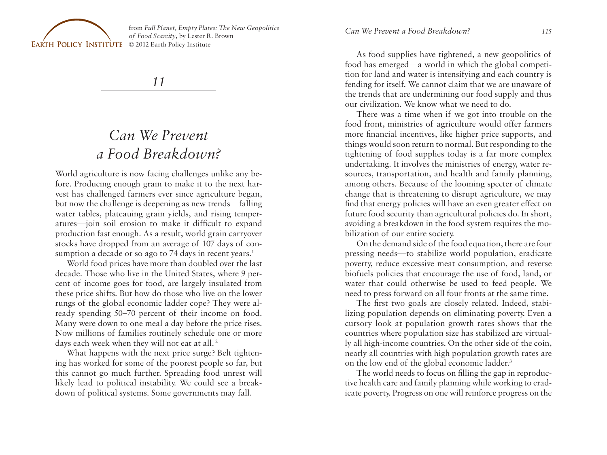

from *[Full Planet, Empty Plates: The New Geopolitics](http://www.earth-policy.org) of Food Scarcity*, by Lester R. Brown

**EARTH POLICY INSTITUTE** © 2012 Earth Policy Institute

*11*

## *Can We Prevent a Food Breakdown?*

World agriculture is now facing challenges unlike any before. Producing enough grain to make it to the next harvest has challenged farmers ever since agriculture began, but now the challenge is deepening as new trends—falling water tables, plateauing grain yields, and rising temperatures—join soil erosion to make it difficult to expand production fast enough. As a result, world grain carryover stocks have dropped from an average of 107 days of consumption a decade or so ago to 74 days in recent years.<sup>1</sup>

World food prices have more than doubled over the last decade. Those who live in the United States, where 9 percent of income goes for food, are largely insulated from these price shifts. But how do those who live on the lower rungs of the global economic ladder cope? They were already spending 50–70 percent of their income on food. Many were down to one meal a day before the price rises. Now millions of families routinely schedule one or more days each week when they will not eat at all.<sup>2</sup>

What happens with the next price surge? Belt tightening has worked for some of the poorest people so far, but this cannot go much further. Spreading food unrest will likely lead to political instability. We could see a breakdown of political systems. Some governments may fall.

As food supplies have tightened, a new geopolitics of food has emerged—a world in which the global competition for land and water is intensifying and each country is fending for itself. We cannot claim that we are unaware of the trends that are undermining our food supply and thus our civilization. We know what we need to do.

There was a time when if we got into trouble on the food front, ministries of agriculture would offer farmers more financial incentives, like higher price supports, and things would soon return to normal. But responding to the tightening of food supplies today is a far more complex undertaking. It involves the ministries of energy, water resources, transportation, and health and family planning, among others. Because of the looming specter of climate change that is threatening to disrupt agriculture, we may find that energy policies will have an even greater effect on future food security than agricultural policies do. In short, avoiding a breakdown in the food system requires the mobilization of our entire society.

On the demand side of the food equation, there are four pressing needs—to stabilize world population, eradicate poverty, reduce excessive meat consumption, and reverse biofuels policies that encourage the use of food, land, or water that could otherwise be used to feed people. We need to press forward on all four fronts at the same time.

The first two goals are closely related. Indeed, stabilizing population depends on eliminating poverty. Even a cursory look at population growth rates shows that the countries where population size has stabilized are virtually all high-income countries. On the other side of the coin, nearly all countries with high population growth rates are on the low end of the global economic ladder.<sup>3</sup>

The world needs to focus on filling the gap in reproductive health care and family planning while working to eradicate poverty. Progress on one will reinforce progress on the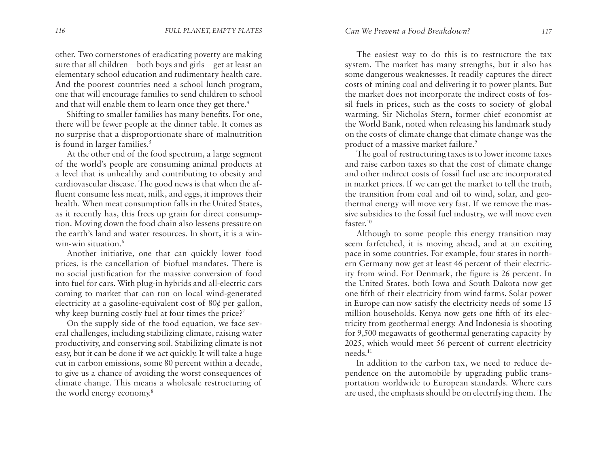other. Two cornerstones of eradicating poverty are making sure that all children—both boys and girls—get at least an elementary school education and rudimentary health care. And the poorest countries need a school lunch program, one that will encourage families to send children to school and that will enable them to learn once they get there.<sup>4</sup>

Shifting to smaller families has many benefits. For one, there will be fewer people at the dinner table. It comes as no surprise that a disproportionate share of malnutrition is found in larger families.<sup>5</sup>

At the other end of the food spectrum, a large segment of the world's people are consuming animal products at a level that is unhealthy and contributing to obesity and cardiovascular disease. The good news is that when the affluent consume less meat, milk, and eggs, it improves their health. When meat consumption falls in the United States, as it recently has, this frees up grain for direct consumption. Moving down the food chain also lessens pressure on the earth's land and water resources. In short, it is a winwin-win situation.<sup>6</sup>

Another initiative, one that can quickly lower food prices, is the cancellation of biofuel mandates. There is no social justification for the massive conversion of food into fuel for cars. With plug-in hybrids and all-electric cars coming to market that can run on local wind-generated electricity at a gasoline-equivalent cost of 80¢ per gallon, why keep burning costly fuel at four times the price?<sup>7</sup>

On the supply side of the food equation, we face several challenges, including stabilizing climate, raising water productivity, and conserving soil. Stabilizing climate is not easy, but it can be done if we act quickly. It will take a huge cut in carbon emissions, some 80 percent within a decade, to give us a chance of avoiding the worst consequences of climate change. This means a wholesale restructuring of the world energy economy.<sup>8</sup>

The easiest way to do this is to restructure the tax system. The market has many strengths, but it also has some dangerous weaknesses. It readily captures the direct costs of mining coal and delivering it to power plants. But the market does not incorporate the indirect costs of fossil fuels in prices, such as the costs to society of global warming. Sir Nicholas Stern, former chief economist at the World Bank, noted when releasing his landmark study on the costs of climate change that climate change was the product of a massive market failure.<sup>9</sup>

The goal of restructuring taxes is to lower income taxes and raise carbon taxes so that the cost of climate change and other indirect costs of fossil fuel use are incorporated in market prices. If we can get the market to tell the truth, the transition from coal and oil to wind, solar, and geothermal energy will move very fast. If we remove the massive subsidies to the fossil fuel industry, we will move even faster.<sup>10</sup>

Although to some people this energy transition may seem farfetched, it is moving ahead, and at an exciting pace in some countries. For example, four states in northern Germany now get at least 46 percent of their electricity from wind. For Denmark, the figure is 26 percent. In the United States, both Iowa and South Dakota now get one fifth of their electricity from wind farms. Solar power in Europe can now satisfy the electricity needs of some 15 million households. Kenya now gets one fifth of its electricity from geothermal energy. And Indonesia is shooting for 9,500 megawatts of geothermal generating capacity by 2025, which would meet 56 percent of current electricity needs.11

In addition to the carbon tax, we need to reduce dependence on the automobile by upgrading public transportation worldwide to European standards. Where cars are used, the emphasis should be on electrifying them. The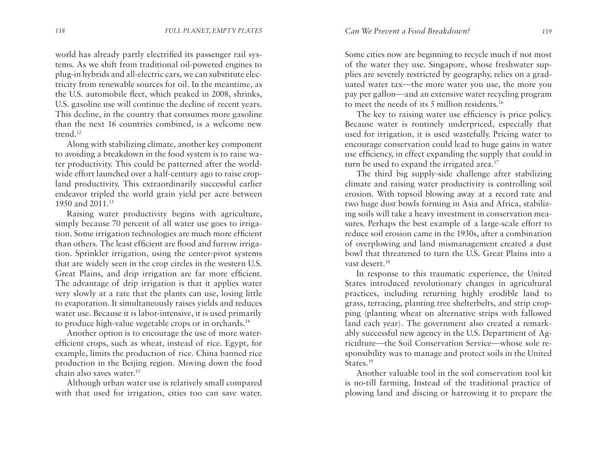world has already partly electrified its passenger rail systems. As we shift from traditional oil-powered engines to plug-in hybrids and all-electric cars, we can substitute electricity from renewable sources for oil. In the meantime, as the U.S. automobile fleet, which peaked in 2008, shrinks, U.S. gasoline use will continue the decline of recent years. This decline, in the country that consumes more gasoline than the next 16 countries combined, is a welcome new trend.12

Along with stabilizing climate, another key component to avoiding a breakdown in the food system is to raise water productivity. This could be patterned after the worldwide effort launched over a half-century ago to raise cropland productivity. This extraordinarily successful earlier endeavor tripled the world grain yield per acre between 1950 and 2011.13

Raising water productivity begins with agriculture, simply because 70 percent of all water use goes to irrigation. Some irrigation technologies are much more efficient than others. The least efficient are flood and furrow irrigation. Sprinkler irrigation, using the center-pivot systems that are widely seen in the crop circles in the western U.S. Great Plains, and drip irrigation are far more efficient. The advantage of drip irrigation is that it applies water very slowly at a rate that the plants can use, losing little to evaporation. It simultaneously raises yields and reduces water use. Because it is labor-intensive, it is used primarily to produce high-value vegetable crops or in orchards.14

Another option is to encourage the use of more waterefficient crops, such as wheat, instead of rice. Egypt, for example, limits the production of rice. China banned rice production in the Beijing region. Moving down the food chain also saves water.15

Although urban water use is relatively small compared with that used for irrigation, cities too can save water. Some cities now are beginning to recycle much if not most of the water they use. Singapore, whose freshwater supplies are severely restricted by geography, relies on a graduated water tax—the more water you use, the more you pay per gallon—and an extensive water recycling program to meet the needs of its 5 million residents.<sup>16</sup>

The key to raising water use efficiency is price policy. Because water is routinely underpriced, especially that used for irrigation, it is used wastefully. Pricing water to encourage conservation could lead to huge gains in water use efficiency, in effect expanding the supply that could in turn be used to expand the irrigated area.<sup>17</sup>

The third big supply-side challenge after stabilizing climate and raising water productivity is controlling soil erosion. With topsoil blowing away at a record rate and two huge dust bowls forming in Asia and Africa, stabilizing soils will take a heavy investment in conservation measures. Perhaps the best example of a large-scale effort to reduce soil erosion came in the 1930s, after a combination of overplowing and land mismanagement created a dust bowl that threatened to turn the U.S. Great Plains into a vast desert.<sup>18</sup>

In response to this traumatic experience, the United States introduced revolutionary changes in agricultural practices, including returning highly erodible land to grass, terracing, planting tree shelterbelts, and strip cropping (planting wheat on alternative strips with fallowed land each year). The government also created a remarkably successful new agency in the U.S. Department of Agriculture—the Soil Conservation Service—whose sole responsibility was to manage and protect soils in the United States.<sup>19</sup>

Another valuable tool in the soil conservation tool kit is no-till farming. Instead of the traditional practice of plowing land and discing or harrowing it to prepare the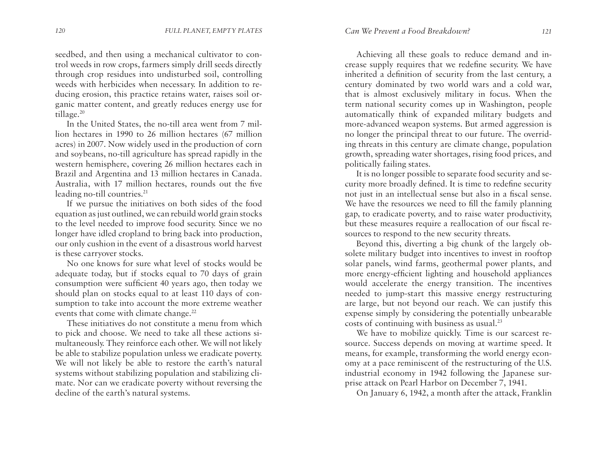seedbed, and then using a mechanical cultivator to control weeds in row crops, farmers simply drill seeds directly through crop residues into undisturbed soil, controlling weeds with herbicides when necessary. In addition to reducing erosion, this practice retains water, raises soil organic matter content, and greatly reduces energy use for tillage.<sup>20</sup>

In the United States, the no-till area went from 7 million hectares in 1990 to 26 million hectares (67 million acres) in 2007. Now widely used in the production of corn and soybeans, no-till agriculture has spread rapidly in the western hemisphere, covering 26 million hectares each in Brazil and Argentina and 13 million hectares in Canada. Australia, with 17 million hectares, rounds out the five leading no-till countries.<sup>21</sup>

If we pursue the initiatives on both sides of the food equation as just outlined, we can rebuild world grain stocks to the level needed to improve food security. Since we no longer have idled cropland to bring back into production, our only cushion in the event of a disastrous world harvest is these carryover stocks.

No one knows for sure what level of stocks would be adequate today, but if stocks equal to 70 days of grain consumption were sufficient 40 years ago, then today we should plan on stocks equal to at least 110 days of consumption to take into account the more extreme weather events that come with climate change.<sup>22</sup>

These initiatives do not constitute a menu from which to pick and choose. We need to take all these actions simultaneously. They reinforce each other. We will not likely be able to stabilize population unless we eradicate poverty. We will not likely be able to restore the earth's natural systems without stabilizing population and stabilizing climate. Nor can we eradicate poverty without reversing the decline of the earth's natural systems.

Achieving all these goals to reduce demand and increase supply requires that we redefine security. We have inherited a definition of security from the last century, a century dominated by two world wars and a cold war, that is almost exclusively military in focus. When the term national security comes up in Washington, people automatically think of expanded military budgets and more-advanced weapon systems. But armed aggression is no longer the principal threat to our future. The overriding threats in this century are climate change, population growth, spreading water shortages, rising food prices, and politically failing states.

It is no longer possible to separate food security and security more broadly defined. It is time to redefine security not just in an intellectual sense but also in a fiscal sense. We have the resources we need to fill the family planning gap, to eradicate poverty, and to raise water productivity, but these measures require a reallocation of our fiscal resources to respond to the new security threats.

Beyond this, diverting a big chunk of the largely obsolete military budget into incentives to invest in rooftop solar panels, wind farms, geothermal power plants, and more energy-efficient lighting and household appliances would accelerate the energy transition. The incentives needed to jump-start this massive energy restructuring are large, but not beyond our reach. We can justify this expense simply by considering the potentially unbearable costs of continuing with business as usual.<sup>23</sup>

We have to mobilize quickly. Time is our scarcest resource. Success depends on moving at wartime speed. It means, for example, transforming the world energy economy at a pace reminiscent of the restructuring of the U.S. industrial economy in 1942 following the Japanese surprise attack on Pearl Harbor on December 7, 1941.

On January 6, 1942, a month after the attack, Franklin